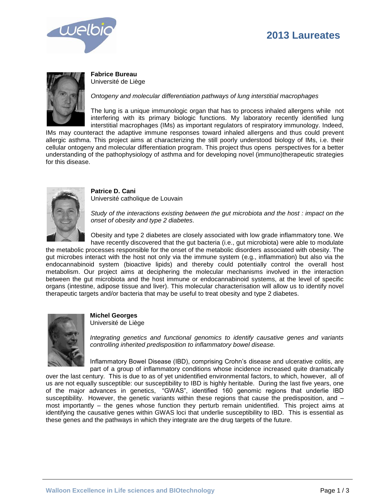# **2013 Laureates**





**Fabrice Bureau**  Université de Liège

*Ontogeny and molecular differentiation pathways of lung interstitial macrophages*

The lung is a unique immunologic organ that has to process inhaled allergens while not interfering with its primary biologic functions. My laboratory recently identified lung interstitial macrophages (IMs) as important regulators of respiratory immunology. Indeed,

IMs may counteract the adaptive immune responses toward inhaled allergens and thus could prevent allergic asthma. This project aims at characterizing the still poorly understood biology of IMs, i.e. their cellular ontogeny and molecular differentiation program. This project thus opens perspectives for a better understanding of the pathophysiology of asthma and for developing novel (immuno)therapeutic strategies for this disease.



**Patrice D. Cani** Université catholique de Louvain

*Study of the interactions existing between the gut microbiota and the host : impact on the onset of obesity and type 2 diabetes.*

Obesity and type 2 diabetes are closely associated with low grade inflammatory tone. We have recently discovered that the gut bacteria (i.e., gut microbiota) were able to modulate

the metabolic processes responsible for the onset of the metabolic disorders associated with obesity. The gut microbes interact with the host not only via the immune system (e.g., inflammation) but also via the endocannabinoid system (bioactive lipids) and thereby could potentially control the overall host metabolism. Our project aims at deciphering the molecular mechanisms involved in the interaction between the gut microbiota and the host immune or endocannabinoid systems, at the level of specific organs (intestine, adipose tissue and liver). This molecular characterisation will allow us to identify novel therapeutic targets and/or bacteria that may be useful to treat obesity and type 2 diabetes.



**Michel Georges** Université de Liège

*Integrating genetics and functional genomics to identify causative genes and variants controlling inherited predisposition to inflammatory bowel disease.*

Inflammatory Bowel Disease (IBD), comprising Crohn's disease and ulcerative colitis, are part of a group of inflammatory conditions whose incidence increased quite dramatically

over the last century. This is due to as of yet unidentified environmental factors, to which, however, all of us are not equally susceptible: our susceptibility to IBD is highly heritable. During the last five years, one of the major advances in genetics, "GWAS", identified 160 genomic regions that underlie IBD susceptibility. However, the genetic variants within these regions that cause the predisposition, and – most importantly – the genes whose function they perturb remain unidentified. This project aims at identifying the causative genes within GWAS loci that underlie susceptibility to IBD. This is essential as these genes and the pathways in which they integrate are the drug targets of the future.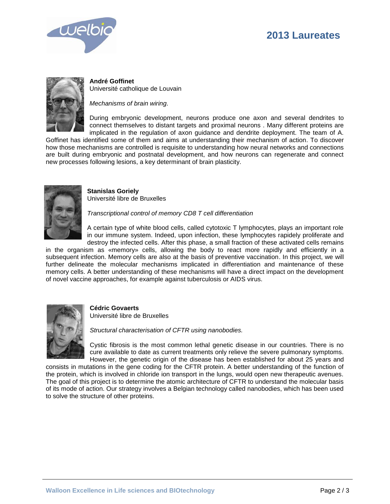# **2013 Laureates**





**André Goffinet** Université catholique de Louvain

*Mechanisms of brain wiring.*

During embryonic development, neurons produce one axon and several dendrites to connect themselves to distant targets and proximal neurons . Many different proteins are implicated in the regulation of axon guidance and dendrite deployment. The team of A.

Goffinet has identified some of them and aims at understanding their mechanism of action. To discover how those mechanisms are controlled is requisite to understanding how neural networks and connections are built during embryonic and postnatal development, and how neurons can regenerate and connect new processes following lesions, a key determinant of brain plasticity.



**Stanislas Goriely** Université libre de Bruxelles

*Transcriptional control of memory CD8 T cell differentiation*

A certain type of white blood cells, called cytotoxic T lymphocytes, plays an important role in our immune system. Indeed, upon infection, these lymphocytes rapidely proliferate and destroy the infected cells. After this phase, a small fraction of these activated cells remains

in the organism as «memory» cells, allowing the body to react more rapidly and efficiently in a subsequent infection. Memory cells are also at the basis of preventive vaccination. In this project, we will further delineate the molecular mechanisms implicated in differentiation and maintenance of these memory cells. A better understanding of these mechanisms will have a direct impact on the development of novel vaccine approaches, for example against tuberculosis or AIDS virus.



### **Cédric Govaerts**

Université libre de Bruxelles

*Structural characterisation of CFTR using nanobodies.*

Cystic fibrosis is the most common lethal genetic disease in our countries. There is no cure available to date as current treatments only relieve the severe pulmonary symptoms. However, the genetic origin of the disease has been established for about 25 years and

consists in mutations in the gene coding for the CFTR protein. A better understanding of the function of the protein, which is involved in chloride ion transport in the lungs, would open new therapeutic avenues. The goal of this project is to determine the atomic architecture of CFTR to understand the molecular basis of its mode of action. Our strategy involves a Belgian technology called nanobodies, which has been used to solve the structure of other proteins.